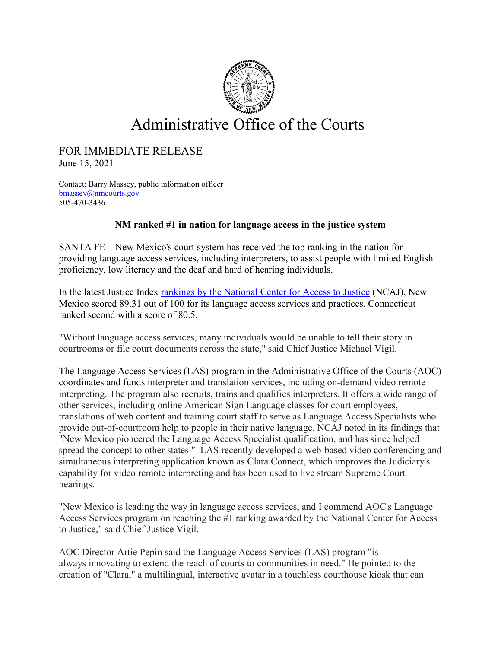

## Administrative Office of the Courts

## FOR IMMEDIATE RELEASE

June 15, 2021

Contact: Barry Massey, public information officer [bmassey@nmcourts.gov](mailto:bmassey@nmcourts.gov) 505-470-3436

## **NM ranked #1 in nation for language access in the justice system**

SANTA FE – New Mexico's court system has received the top ranking in the nation for providing language access services, including interpreters, to assist people with limited English proficiency, low literacy and the deaf and hard of hearing individuals.

In the latest Justice Index [rankings by the National Center for Access to Justice](https://ncaj.org/state-rankings/2021/justice-index) (NCAJ), New Mexico scored 89.31 out of 100 for its language access services and practices. Connecticut ranked second with a score of 80.5.

"Without language access services, many individuals would be unable to tell their story in courtrooms or file court documents across the state," said Chief Justice Michael Vigil.

The Language Access Services (LAS) program in the Administrative Office of the Courts (AOC) coordinates and funds interpreter and translation services, including on-demand video remote interpreting. The program also recruits, trains and qualifies interpreters. It offers a wide range of other services, including online American Sign Language classes for court employees, translations of web content and training court staff to serve as Language Access Specialists who provide out-of-courtroom help to people in their native language. NCAJ noted in its findings that "New Mexico pioneered the Language Access Specialist qualification, and has since helped spread the concept to other states." LAS recently developed a web-based video conferencing and simultaneous interpreting application known as Clara Connect, which improves the Judiciary's capability for video remote interpreting and has been used to live stream Supreme Court hearings.

"New Mexico is leading the way in language access services, and I commend AOC's Language Access Services program on reaching the #1 ranking awarded by the National Center for Access to Justice," said Chief Justice Vigil.

AOC Director Artie Pepin said the Language Access Services (LAS) program "is always innovating to extend the reach of courts to communities in need." He pointed to the creation of "Clara," a multilingual, interactive avatar in a touchless courthouse kiosk that can